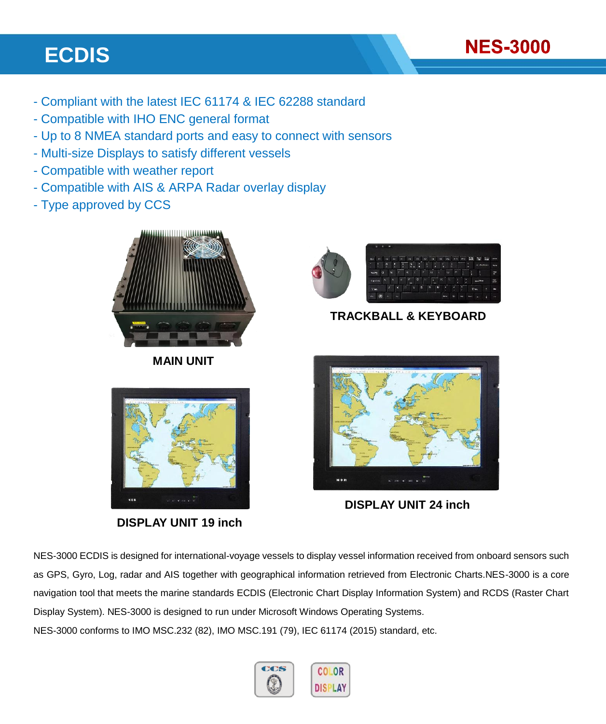# **ECDIS**

- Compliant with the latest IEC 61174 & IEC 62288 standard
- Compatible with IHO ENC general format
- Up to 8 NMEA standard ports and easy to connect with sensors
- Multi-size Displays to satisfy different vessels
- Compatible with weather report
- Compatible with AIS & ARPA Radar overlay display
- Type approved by CCS



**MAIN UNIT**



**NES-3000** 

**TRACKBALL & KEYBOARD**



**DISPLAY UNIT 19 inch**



**DISPLAY UNIT 24 inch**

NES-3000 ECDIS is designed for international-voyage vessels to display vessel information received from onboard sensors such as GPS, Gyro, Log, radar and AIS together with geographical information retrieved from Electronic Charts.NES-3000 is a core navigation tool that meets the marine standards ECDIS (Electronic Chart Display Information System) and RCDS (Raster Chart Display System). NES-3000 is designed to run under Microsoft Windows Operating Systems. NES-3000 conforms to IMO MSC.232 (82), IMO MSC.191 (79), IEC 61174 (2015) standard, etc.